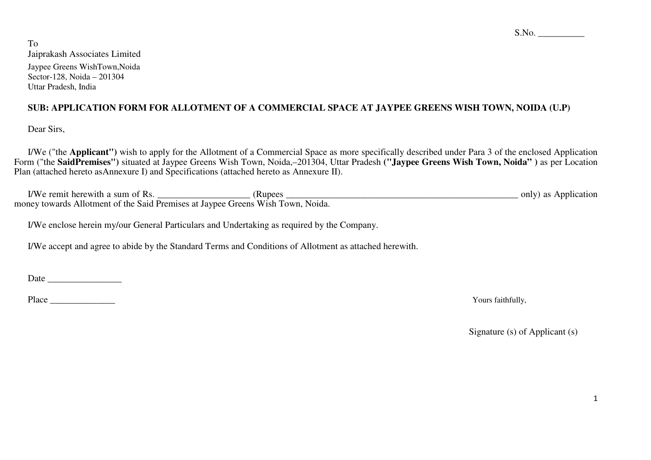$S.No.$ 

To Jaiprakash Associates Limited Jaypee Greens WishTown,Noida Sector-128, Noida – 201304 Uttar Pradesh, India

# **SUB: APPLICATION FORM FOR ALLOTMENT OF A COMMERCIAL SPACE AT JAYPEE GREENS WISH TOWN, NOIDA (U.P)**

Dear Sirs,

I/We ("the **Applicant")** wish to apply for the Allotment of a Commercial Space as more specifically described under Para 3 of the enclosed Application Form ("the **SaidPremises")** situated at Jaypee Greens Wish Town, Noida,–201304, Uttar Pradesh **("Jaypee Greens Wish Town, Noida" )** as per Location Plan (attached hereto asAnnexure I) and Specifications (attached hereto as Annexure II).

I/We remit herewith a sum of Rs. \_\_\_\_\_\_\_\_\_\_\_\_\_\_\_\_\_\_\_\_ (Rupees \_\_\_\_\_\_\_\_\_\_\_\_\_\_\_\_\_\_\_\_\_\_\_\_\_\_\_\_\_\_\_\_\_\_\_\_\_\_\_\_\_\_\_\_\_\_\_\_\_\_ only) as Application money towards Allotment of the Said Premises at Jaypee Greens Wish Town, Noida.

I/We enclose herein my/our General Particulars and Undertaking as required by the Company.

I/We accept and agree to abide by the Standard Terms and Conditions of Allotment as attached herewith.

Date \_\_\_\_\_\_\_\_\_\_\_\_\_\_\_\_

Place \_\_\_\_\_\_\_\_\_\_\_\_\_\_ Yours faithfully,

Signature (s) of Applicant (s)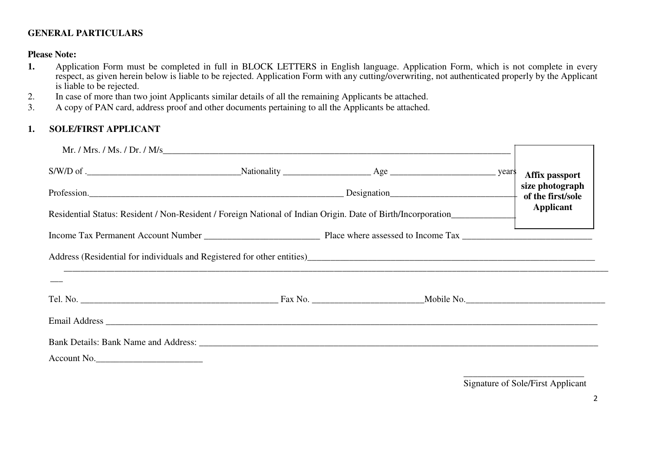# **GENERAL PARTICULARS**

## **Please Note:**

- Application Form must be completed in full in BLOCK LETTERS in English language. Application Form, which is not complete in every **1.**respect, as given herein below is liable to be rejected. Application Form with any cutting/overwriting, not authenticated properly by the Applicant is liable to be rejected.
- In case of more than two joint Applicants similar details of all the remaining Applicants be attached. 2.
- 3.A copy of PAN card, address proof and other documents pertaining to all the Applicants be attached.

#### **1.SOLE/FIRST APPLICANT**

| $S/W/D$ of . The subset of the set of the set of the SNM and SNM and SNM and SNM and SNM and SNM and SNM and SNM and SNM and SNM and SNM and SNM and SNM and SNM and SNM and SNM and SNM and SNM and SNM and SNM and SNM and SN    |  | Affix passport  |
|------------------------------------------------------------------------------------------------------------------------------------------------------------------------------------------------------------------------------------|--|-----------------|
| Profession. 1990 besignation best and the first/sole of the first/sole                                                                                                                                                             |  | size photograph |
| Residential Status: Resident / Non-Resident / Foreign National of Indian Origin. Date of Birth/Incorporation                                                                                                                       |  | Applicant       |
|                                                                                                                                                                                                                                    |  |                 |
| Address (Residential for individuals and Registered for other entities)<br>and the entities (Residential for individuals and Registered for other entities)<br>and the entities (Parameter and the entity of the entity of the ent |  |                 |
|                                                                                                                                                                                                                                    |  |                 |
|                                                                                                                                                                                                                                    |  |                 |
|                                                                                                                                                                                                                                    |  |                 |
| Bank Details: Bank Name and Address: New York 1988. The Second Line of the Second Line of the Second Line of the Second Line of the Second Line of the Second Line of the Second Line of the Second Line of the Second Line of     |  |                 |
| Account No.                                                                                                                                                                                                                        |  |                 |

\_\_\_\_\_\_\_\_\_\_\_\_\_\_\_\_\_\_\_\_\_\_\_\_\_\_ Signature of Sole/First Applicant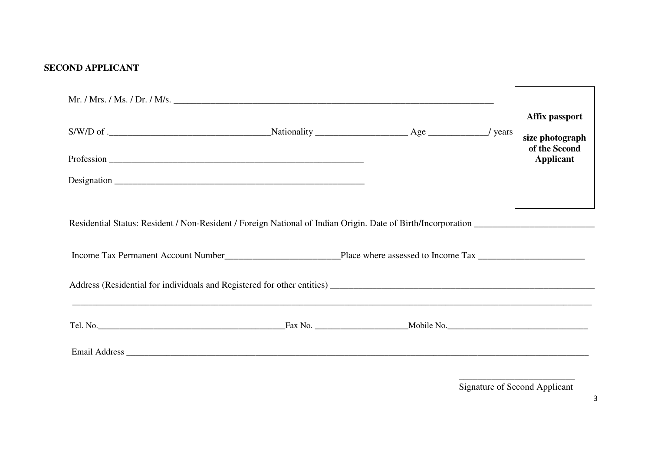# **SECOND APPLICANT**

|  |  | Affix passport                   |
|--|--|----------------------------------|
|  |  | size photograph<br>of the Second |
|  |  | Applicant                        |
|  |  |                                  |
|  |  |                                  |
|  |  |                                  |
|  |  |                                  |
|  |  |                                  |
|  |  |                                  |
|  |  |                                  |
|  |  |                                  |

Signature of Second Applicant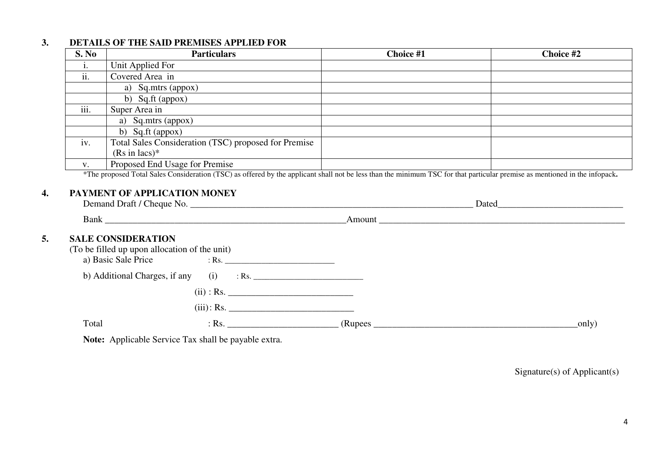#### **3.DETAILS OF THE SAID PREMISES APPLIED FOR**

**4.**

**5.**

| S. No             | <b>Particulars</b>                                                                                                                                                                                                | Choice #1 | Choice #2                                                                                                                                                                                                                     |
|-------------------|-------------------------------------------------------------------------------------------------------------------------------------------------------------------------------------------------------------------|-----------|-------------------------------------------------------------------------------------------------------------------------------------------------------------------------------------------------------------------------------|
| i.                | Unit Applied For                                                                                                                                                                                                  |           |                                                                                                                                                                                                                               |
| $\overline{ii}$ . | Covered Area in                                                                                                                                                                                                   |           |                                                                                                                                                                                                                               |
|                   | a) Sq.mtrs (appox)                                                                                                                                                                                                |           |                                                                                                                                                                                                                               |
|                   | b) Sq.ft (appox)                                                                                                                                                                                                  |           |                                                                                                                                                                                                                               |
| iii.              | Super Area in                                                                                                                                                                                                     |           |                                                                                                                                                                                                                               |
|                   | a) Sq.mtrs (appox)                                                                                                                                                                                                |           |                                                                                                                                                                                                                               |
|                   | b) Sq.ft (appox)                                                                                                                                                                                                  |           |                                                                                                                                                                                                                               |
| iv.               | Total Sales Consideration (TSC) proposed for Premise                                                                                                                                                              |           |                                                                                                                                                                                                                               |
|                   | $(Rs \text{ in } lacs)^*$                                                                                                                                                                                         |           |                                                                                                                                                                                                                               |
|                   | Proposed End Usage for Premise                                                                                                                                                                                    |           |                                                                                                                                                                                                                               |
| $V_{\bullet}$     | *The proposed Total Sales Consideration (TSC) as offered by the applicant shall not be less than the minimum TSC for that particular premise as mentioned in the infopack.<br><b>PAYMENT OF APPLICATION MONEY</b> |           |                                                                                                                                                                                                                               |
|                   |                                                                                                                                                                                                                   |           |                                                                                                                                                                                                                               |
|                   |                                                                                                                                                                                                                   |           |                                                                                                                                                                                                                               |
|                   |                                                                                                                                                                                                                   |           |                                                                                                                                                                                                                               |
|                   | <b>SALE CONSIDERATION</b>                                                                                                                                                                                         |           |                                                                                                                                                                                                                               |
|                   | (To be filled up upon allocation of the unit)<br>a) Basic Sale Price                                                                                                                                              |           |                                                                                                                                                                                                                               |
|                   | b) Additional Charges, if any $(i)$ : Rs.                                                                                                                                                                         |           |                                                                                                                                                                                                                               |
|                   |                                                                                                                                                                                                                   |           | Dated and the state of the state of the state of the state of the state of the state of the state of the state of the state of the state of the state of the state of the state of the state of the state of the state of the |
|                   |                                                                                                                                                                                                                   |           |                                                                                                                                                                                                                               |

**Note:** Applicable Service Tax shall be payable extra.

Signature(s) of Applicant(s)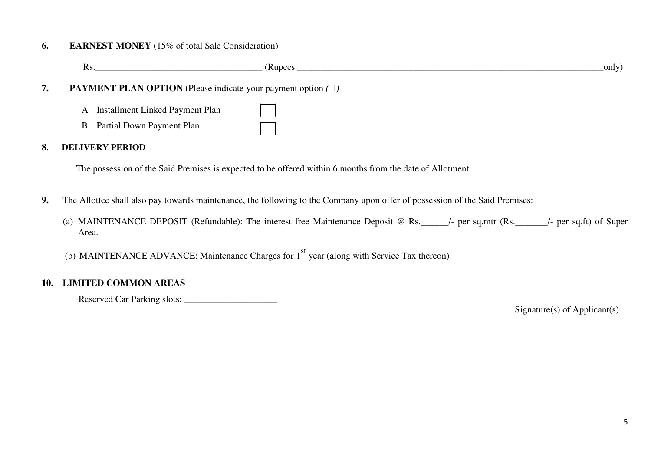#### **6.EARNEST MONEY** (15% of total Sale Consideration)

Rs. CRupees CRUpees CRUPEER (Rupees CRUPEER And The CRUPEER And The CRUPEER And The CRUPEER And The CRUPEER AND THE CRUPEER AND THE CRUPEER Only)

# **7. PAYMENT PLAN OPTION (**Please indicate your payment option *()*

- A Installment Linked Payment Plan
- B Partial Down Payment Plan

## **8**. **DELIVERY PERIOD**

The possession of the Said Premises is expected to be offered within 6 months from the date of Allotment.

- **9.** The Allottee shall also pay towards maintenance, the following to the Company upon offer of possession of the Said Premises:
	- (a) MAINTENANCE DEPOSIT (Refundable): The interest free Maintenance Deposit @ Rs.\_\_\_\_\_\_/- per sq.mtr (Rs.\_\_\_\_\_\_\_/- per sq.ft) of Super Area.
	- (b) MAINTENANCE ADVANCE: Maintenance Charges for  $1<sup>st</sup>$  year (along with Service Tax thereon)

# **10. LIMITED COMMON AREAS**

Reserved Car Parking slots: \_\_\_\_\_\_\_\_\_\_\_\_\_\_\_\_\_\_\_\_

Signature(s) of Applicant(s)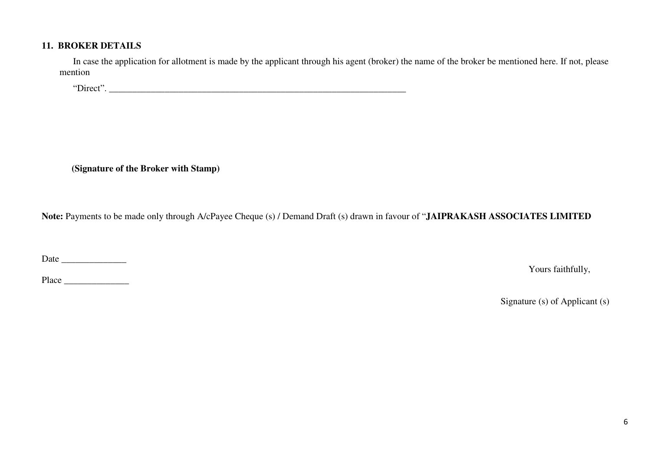## **11. BROKER DETAILS**

In case the application for allotment is made by the applicant through his agent (broker) the name of the broker be mentioned here. If not, please mention

"Direct".

**(Signature of the Broker with Stamp)**

**Note:** Payments to be made only through A/cPayee Cheque (s) / Demand Draft (s) drawn in favour of "**JAIPRAKASH ASSOCIATES LIMITED**

Date \_\_\_\_\_\_\_\_\_\_\_\_\_\_

Yours faithfully,

Place  $\Box$ 

Signature (s) of Applicant (s)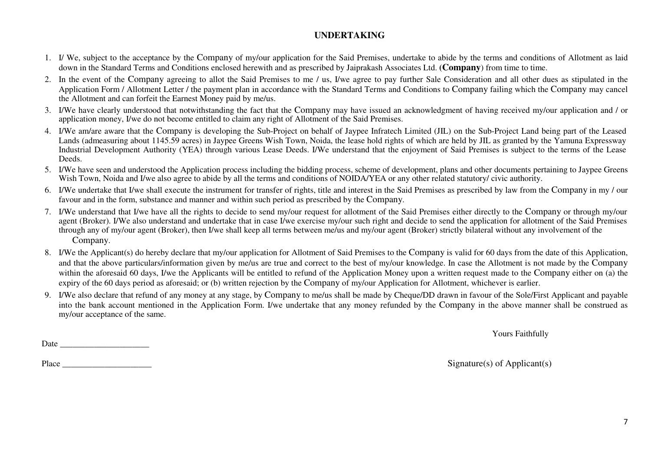# **UNDERTAKING**

- 1. I/ We, subject to the acceptance by the Company of my/our application for the Said Premises, undertake to abide by the terms and conditions of Allotment as laid down in the Standard Terms and Conditions enclosed herewith and as prescribed by Jaiprakash Associates Ltd. **(Company**) from time to time.
- 2. In the event of the Company agreeing to allot the Said Premises to me / us, I/we agree to pay further Sale Consideration and all other dues as stipulated in the Application Form / Allotment Letter / the payment plan in accordance with the Standard Terms and Conditions to Company failing which the Company may cancel the Allotment and can forfeit the Earnest Money paid by me/us.
- 3. I/We have clearly understood that notwithstanding the fact that the Company may have issued an acknowledgment of having received my/our application and / or application money, I/we do not become entitled to claim any right of Allotment of the Said Premises.
- 4. I/We am/are aware that the Company is developing the Sub-Project on behalf of Jaypee Infratech Limited (JIL) on the Sub-Project Land being part of the Leased Lands (admeasuring about 1145.59 acres) in Jaypee Greens Wish Town, Noida, the lease hold rights of which are held by JIL as granted by the Yamuna Expressway Industrial Development Authority (YEA) through various Lease Deeds. I/We understand that the enjoyment of Said Premises is subject to the terms of the Lease Deeds.
- 5. I/We have seen and understood the Application process including the bidding process, scheme of development, plans and other documents pertaining to Jaypee Greens Wish Town, Noida and I/we also agree to abide by all the terms and conditions of NOIDA/YEA or any other related statutory/ civic authority.
- 6. I/We undertake that I/we shall execute the instrument for transfer of rights, title and interest in the Said Premises as prescribed by law from the Company in my / our favour and in the form, substance and manner and within such period as prescribed by the Company.
- 7. I/We understand that I/we have all the rights to decide to send my/our request for allotment of the Said Premises either directly to the Company or through my/our agent (Broker). I/We also understand and undertake that in case I/we exercise my/our such right and decide to send the application for allotment of the Said Premises through any of my/our agent (Broker), then I/we shall keep all terms between me/us and my/our agent (Broker) strictly bilateral without any involvement of the Company.
- 8. I/We the Applicant(s) do hereby declare that my/our application for Allotment of Said Premises to the Company is valid for 60 days from the date of this Application, and that the above particulars/information given by me/us are true and correct to the best of my/our knowledge. In case the Allotment is not made by the Company within the aforesaid 60 days, I/we the Applicants will be entitled to refund of the Application Money upon a written request made to the Company either on (a) the expiry of the 60 days period as aforesaid; or (b) written rejection by the Company of my/our Application for Allotment, whichever is earlier.
- 9. I/We also declare that refund of any money at any stage, by Company to me/us shall be made by Cheque/DD drawn in favour of the Sole/First Applicant and payable into the bank account mentioned in the Application Form. I/we undertake that any money refunded by the Company in the above manner shall be construed as my/our acceptance of the same.

Yours Faithfully

Date \_\_\_\_\_\_\_\_\_\_\_\_\_\_\_\_\_\_\_\_\_

Place \_\_\_\_\_\_\_\_\_\_\_\_\_\_\_\_\_\_\_\_\_

Signature(s) of Applicant(s)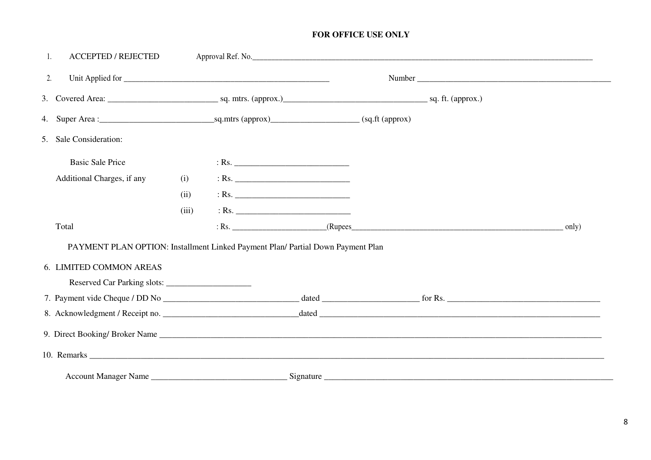# FOR OFFICE USE ONLY

| <b>ACCEPTED / REJECTED</b><br>1.                                                |       |         |  |             |
|---------------------------------------------------------------------------------|-------|---------|--|-------------|
| 2.                                                                              |       |         |  |             |
|                                                                                 |       |         |  |             |
|                                                                                 |       |         |  |             |
| 5. Sale Consideration:                                                          |       |         |  |             |
| <b>Basic Sale Price</b>                                                         |       |         |  |             |
| Additional Charges, if any                                                      | (i)   |         |  |             |
|                                                                                 | (ii)  | $:$ Rs. |  |             |
|                                                                                 | (iii) |         |  |             |
| Total                                                                           |       |         |  | $_{}$ only) |
| PAYMENT PLAN OPTION: Installment Linked Payment Plan/ Partial Down Payment Plan |       |         |  |             |
| 6. LIMITED COMMON AREAS                                                         |       |         |  |             |
|                                                                                 |       |         |  |             |
|                                                                                 |       |         |  |             |
|                                                                                 |       |         |  |             |
|                                                                                 |       |         |  |             |
|                                                                                 |       |         |  |             |
|                                                                                 |       |         |  |             |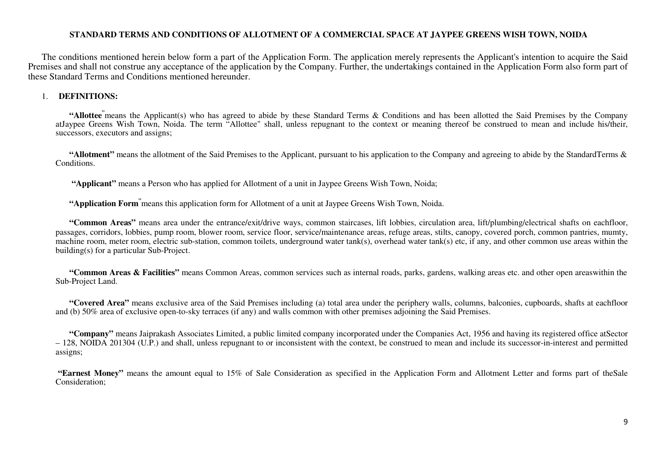### **STANDARD TERMS AND CONDITIONS OF ALLOTMENT OF A COMMERCIAL SPACE AT JAYPEE GREENS WISH TOWN, NOIDA**

The conditions mentioned herein below form a part of the Application Form. The application merely represents the Applicant's intention to acquire the Said Premises and shall not construe any acceptance of the application by the Company. Further, the undertakings contained in the Application Form also form part of these Standard Terms and Conditions mentioned hereunder.

### 1. **DEFINITIONS:**

**"Allottee"**means the Applicant(s) who has agreed to abide by these Standard Terms & Conditions and has been allotted the Said Premises by the Company atJaypee Greens Wish Town, Noida. The term "Allottee" shall, unless repugnant to the context or meaning thereof be construed to mean and include his/their, successors, executors and assigns;

**"Allotment"** means the allotment of the Said Premises to the Applicant, pursuant to his application to the Company and agreeing to abide by the StandardTerms & Conditions.

**"Applicant"** means a Person who has applied for Allotment of a unit in Jaypee Greens Wish Town, Noida;

**"Application Form"**means this application form for Allotment of a unit at Jaypee Greens Wish Town, Noida.

**"Common Areas"** means area under the entrance/exit/drive ways, common staircases, lift lobbies, circulation area, lift/plumbing/electrical shafts on eachfloor, passages, corridors, lobbies, pump room, blower room, service floor, service/maintenance areas, refuge areas, stilts, canopy, covered porch, common pantries, mumty, machine room, meter room, electric sub-station, common toilets, underground water tank(s), overhead water tank(s) etc, if any, and other common use areas within the building(s) for a particular Sub-Project.

**"Common Areas & Facilities"** means Common Areas, common services such as internal roads, parks, gardens, walking areas etc. and other open areaswithin the Sub-Project Land.

**"Covered Area"** means exclusive area of the Said Premises including (a) total area under the periphery walls, columns, balconies, cupboards, shafts at eachfloor and (b) 50% area of exclusive open-to-sky terraces (if any) and walls common with other premises adjoining the Said Premises.

**"Company"** means Jaiprakash Associates Limited, a public limited company incorporated under the Companies Act, 1956 and having its registered office atSector – 128, NOIDA 201304 (U.P.) and shall, unless repugnant to or inconsistent with the context, be construed to mean and include its successor-in-interest and permitted assigns;

**"Earnest Money"** means the amount equal to 15% of Sale Consideration as specified in the Application Form and Allotment Letter and forms part of theSale Consideration;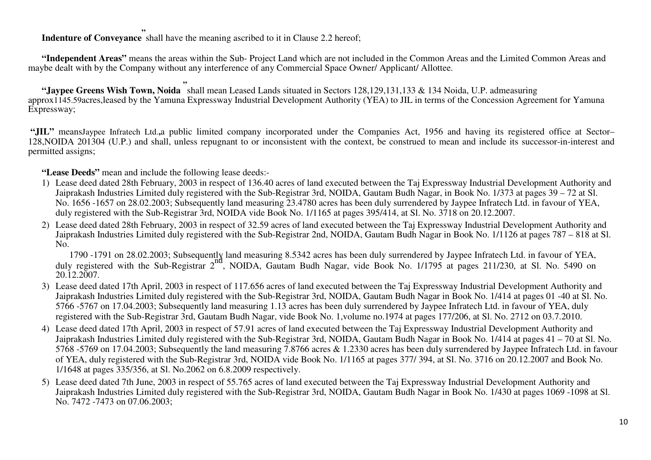**Indenture of Conveyance** shall have the meaning ascribed to it in Clause 2.2 hereof; **"**

**"Independent Areas"** means the areas within the Sub- Project Land which are not included in the Common Areas and the Limited Common Areas and maybe dealt with by the Company without any interference of any Commercial Space Owner/ Applicant/ Allottee.

**"Jaypee Greens Wish Town, Noida**  shall mean Leased Lands situated in Sectors 128,129,131,133 & 134 Noida, U.P. admeasuring approx1145.59acres,leased by the Yamuna Expressway Industrial Development Authority (YEA) to JIL in terms of the Concession Agreement for Yamuna **"**Expressway;

**"JIL"** meansJaypee Infratech Ltd.**,**a public limited company incorporated under the Companies Act, 1956 and having its registered office at Sector– 128,NOIDA 201304 (U.P.) and shall, unless repugnant to or inconsistent with the context, be construed to mean and include its successor-in-interest and permitted assigns;

**"Lease Deeds"** mean and include the following lease deeds:-

- 1) Lease deed dated 28th February, 2003 in respect of 136.40 acres of land executed between the Taj Expressway Industrial Development Authority and Jaiprakash Industries Limited duly registered with the Sub-Registrar 3rd, NOIDA, Gautam Budh Nagar, in Book No. 1/373 at pages 39 – 72 at Sl. No. 1656 -1657 on 28.02.2003; Subsequently land measuring 23.4780 acres has been duly surrendered by Jaypee Infratech Ltd. in favour of YEA, duly registered with the Sub-Registrar 3rd, NOIDA vide Book No. 1/1165 at pages 395/414, at Sl. No. 3718 on 20.12.2007.
- 2) Lease deed dated 28th February, 2003 in respect of 32.59 acres of land executed between the Taj Expressway Industrial Development Authority and Jaiprakash Industries Limited duly registered with the Sub-Registrar 2nd, NOIDA, Gautam Budh Nagar in Book No. 1/1126 at pages 787 – 818 at Sl. No.

 1790 -1791 on 28.02.2003; Subsequently land measuring 8.5342 acres has been duly surrendered by Jaypee Infratech Ltd. in favour of YEA, duly registered with the Sub-Registrar 2<sup>nd</sup>, NOIDA, Gautam Budh Nagar, vide Book No. 1/1795 at pages 211/230, at Sl. No. 5490 on 20.12.2007.

- 3) Lease deed dated 17th April, 2003 in respect of 117.656 acres of land executed between the Taj Expressway Industrial Development Authority and Jaiprakash Industries Limited duly registered with the Sub-Registrar 3rd, NOIDA, Gautam Budh Nagar in Book No. 1/414 at pages 01 -40 at Sl. No. 5766 -5767 on 17.04.2003; Subsequently land measuring 1.13 acres has been duly surrendered by Jaypee Infratech Ltd. in favour of YEA, duly registered with the Sub-Registrar 3rd, Gautam Budh Nagar, vide Book No. 1,volume no.1974 at pages 177/206, at Sl. No. 2712 on 03.7.2010.
- 4) Lease deed dated 17th April, 2003 in respect of 57.91 acres of land executed between the Taj Expressway Industrial Development Authority and Jaiprakash Industries Limited duly registered with the Sub-Registrar 3rd, NOIDA, Gautam Budh Nagar in Book No. 1/414 at pages 41 – 70 at Sl. No. 5768 -5769 on 17.04.2003; Subsequently the land measuring 7.8766 acres & 1.2330 acres has been duly surrendered by Jaypee Infratech Ltd. in favour of YEA, duly registered with the Sub-Registrar 3rd, NOIDA vide Book No. 1/1165 at pages 377/ 394, at Sl. No. 3716 on 20.12.2007 and Book No. 1/1648 at pages 335/356, at Sl. No.2062 on 6.8.2009 respectively.
- 5) Lease deed dated 7th June, 2003 in respect of 55.765 acres of land executed between the Taj Expressway Industrial Development Authority and Jaiprakash Industries Limited duly registered with the Sub-Registrar 3rd, NOIDA, Gautam Budh Nagar in Book No. 1/430 at pages 1069 -1098 at Sl. No. 7472 -7473 on 07.06.2003;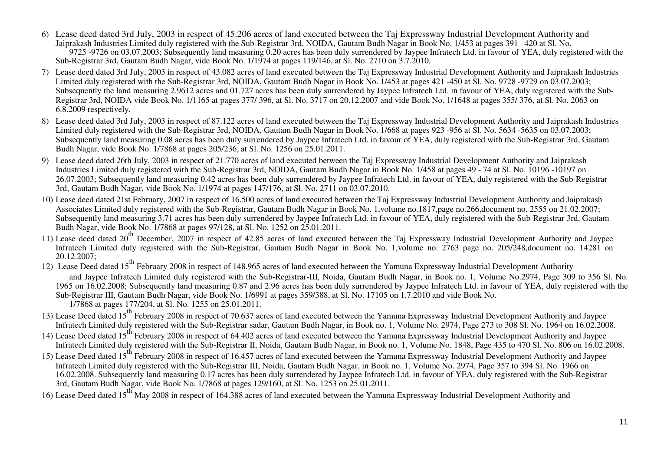- 6) Lease deed dated 3rd July, 2003 in respect of 45.206 acres of land executed between the Taj Expressway Industrial Development Authority and Jaiprakash Industries Limited duly registered with the Sub-Registrar 3rd, NOIDA, Gautam Budh Nagar in Book No. 1/453 at pages 391 –420 at Sl. No. 9725 -9726 on 03.07.2003; Subsequently land measuring 0.20 acres has been duly surrendered by Jaypee Infratech Ltd. in favour of YEA, duly registered with the Sub-Registrar 3rd, Gautam Budh Nagar, vide Book No. 1/1974 at pages 119/146, at Sl. No. 2710 on 3.7.2010.
- 7) Lease deed dated 3rd July, 2003 in respect of 43.082 acres of land executed between the Taj Expressway Industrial Development Authority and Jaiprakash Industries Limited duly registered with the Sub-Registrar 3rd, NOIDA, Gautam Budh Nagar in Book No. 1/453 at pages 421 -450 at Sl. No. 9728 -9729 on 03.07.2003; Subsequently the land measuring 2.9612 acres and 01.727 acres has been duly surrendered by Jaypee Infratech Ltd. in favour of YEA, duly registered with the Sub-Registrar 3rd, NOIDA vide Book No. 1/1165 at pages 377/ 396, at Sl. No. 3717 on 20.12.2007 and vide Book No. 1/1648 at pages 355/ 376, at Sl. No. 2063 on6.8.2009 respectively.
- 8) Lease deed dated 3rd July, 2003 in respect of 87.122 acres of land executed between the Taj Expressway Industrial Development Authority and Jaiprakash Industries Limited duly registered with the Sub-Registrar 3rd, NOIDA, Gautam Budh Nagar in Book No. 1/668 at pages 923 -956 at Sl. No. 5634 -5635 on 03.07.2003; Subsequently land measuring 0.08 acres has been duly surrendered by Jaypee Infratech Ltd. in favour of YEA, duly registered with the Sub-Registrar 3rd, Gautam Budh Nagar, vide Book No. 1/7868 at pages 205/236, at Sl. No. 1256 on 25.01.2011.
- 9) Lease deed dated 26th July, 2003 in respect of 21.770 acres of land executed between the Taj Expressway Industrial Development Authority and Jaiprakash Industries Limited duly registered with the Sub-Registrar 3rd, NOIDA, Gautam Budh Nagar in Book No. 1/458 at pages 49 - 74 at Sl. No. 10196 -10197 on 26.07.2003; Subsequently land measuring 0.42 acres has been duly surrendered by Jaypee Infratech Ltd. in favour of YEA, duly registered with the Sub-Registrar 3rd, Gautam Budh Nagar, vide Book No. 1/1974 at pages 147/176, at Sl. No. 2711 on 03.07.2010.
- 10) Lease deed dated 21st February, 2007 in respect of 16.500 acres of land executed between the Taj Expressway Industrial Development Authority and Jaiprakash Associates Limited duly registered with the Sub-Registrar, Gautam Budh Nagar in Book No. 1,volume no.1817,page no.266,document no. 2555 on 21.02.2007; Subsequently land measuring 3.71 acres has been duly surrendered by Jaypee Infratech Ltd. in favour of YEA, duly registered with the Sub-Registrar 3rd, Gautam Budh Nagar, vide Book No. 1/7868 at pages 97/128, at Sl. No. 1252 on 25.01.2011.
- 11) Lease deed dated 20<sup>th</sup> December, 2007 in respect of 42.85 acres of land executed between the Taj Expressway Industrial Development Authority and Jaypee Infratech Limited duly registered with the Sub-Registrar, Gautam Budh Nagar in Book No. 1,volume no. 2763 page no. 205/248,document no. 14281 on 20.12.2007;
- 12) Lease Deed dated 15<sup>th</sup> February 2008 in respect of 148.965 acres of land executed between the Yamuna Expressway Industrial Development Authority and Jaypee Infratech Limited duly registered with the Sub-Registrar-III, Noida, Gautam Budh Nagar, in Book no. 1, Volume No.2974, Page 309 to 356 Sl. No. 1965 on 16.02.2008; Subsequently land measuring 0.87 and 2.96 acres has been duly surrendered by Jaypee Infratech Ltd. in favour of YEA, duly registered with the Sub-Registrar III, Gautam Budh Nagar, vide Book No. 1/6991 at pages 359/388, at Sl. No. 17105 on 1.7.2010 and vide Book No. 1/7868 at pages 177/204, at Sl. No. 1255 on 25.01.2011.
- 13) Lease Deed dated 15<sup>th</sup> February 2008 in respect of 70.637 acres of land executed between the Yamuna Expressway Industrial Development Authority and Jaypee Infratech Limited duly registered with the Sub-Registrar sadar, Gautam Budh Nagar, in Book no. 1, Volume No. 2974, Page 273 to 308 Sl. No. 1964 on 16.02.2008.
- 14) Lease Deed dated 15<sup>th</sup> February 2008 in respect of 64.402 acres of land executed between the Yamuna Expressway Industrial Development Authority and Jaypee Infratech Limited duly registered with the Sub-Registrar II, Noida, Gautam Budh Nagar, in Book no. 1, Volume No. 1848, Page 435 to 470 Sl. No. 806 on 16.02.2008.
- 15) Lease Deed dated 15<sup>th</sup> February 2008 in respect of 16.457 acres of land executed between the Yamuna Expressway Industrial Development Authority and Jaypee Infratech Limited duly registered with the Sub-Registrar III, Noida, Gautam Budh Nagar, in Book no. 1, Volume No. 2974, Page 357 to 394 Sl. No. 1966 on 16.02.2008. Subsequently land measuring 0.17 acres has been duly surrendered by Jaypee Infratech Ltd. in favour of YEA, duly registered with the Sub-Registrar 3rd, Gautam Budh Nagar, vide Book No. 1/7868 at pages 129/160, at Sl. No. 1253 on 25.01.2011.
- 16) Lease Deed dated 15<sup>th</sup> May 2008 in respect of 164.388 acres of land executed between the Yamuna Expressway Industrial Development Authority and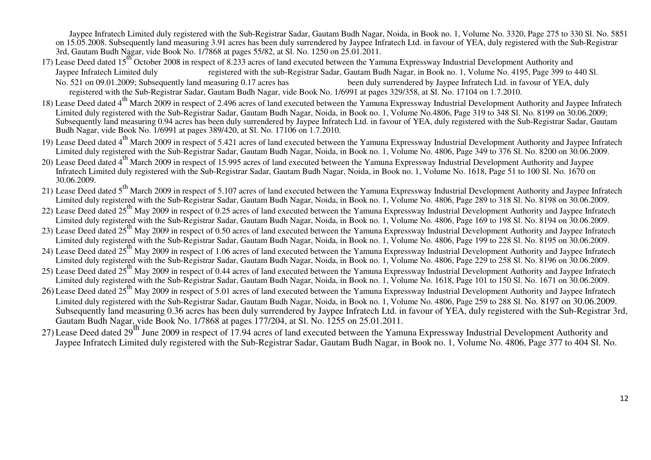Jaypee Infratech Limited duly registered with the Sub-Registrar Sadar, Gautam Budh Nagar, Noida, in Book no. 1, Volume No. 3320, Page 275 to 330 Sl. No. 5851 on 15.05.2008. Subsequently land measuring 3.91 acres has been duly surrendered by Jaypee Infratech Ltd. in favour of YEA, duly registered with the Sub-Registrar 3rd, Gautam Budh Nagar, vide Book No. 1/7868 at pages 55/82, at Sl. No. 1250 on 25.01.2011.

- 17) Lease Deed dated 15<sup>th</sup> October 2008 in respect of 8.233 acres of land executed between the Yamuna Expressway Industrial Development Authority and registered with the sub-Registrar Sadar, Gautam Budh Nagar, in Book no. 1, Volume No. 4195, Page 399 to 440 Sl. Jaypee Infratech Limited dulyNo. 521 on 09.01.2009; Subsequently land measuring 0.17 acres has been duly surrendered by Jaypee Infratech Ltd. in favour of YEA, duly registered with the Sub-Registrar Sadar, Gautam Budh Nagar, vide Book No. 1/6991 at pages 329/358, at Sl. No. 17104 on 1.7.2010.
- 18) Lease Deed dated 4<sup>th</sup> March 2009 in respect of 2.496 acres of land executed between the Yamuna Expressway Industrial Development Authority and Jaypee Infratech Limited duly registered with the Sub-Registrar Sadar, Gautam Budh Nagar, Noida, in Book no. 1, Volume No.4806, Page 319 to 348 Sl. No. 8199 on 30.06.2009; Subsequently land measuring 0.94 acres has been duly surrendered by Jaypee Infratech Ltd. in favour of YEA, duly registered with the Sub-Registrar Sadar, Gautam Budh Nagar, vide Book No. 1/6991 at pages 389/420, at Sl. No. 17106 on 1.7.2010.
- 19) Lease Deed dated 4<sup>th</sup> March 2009 in respect of 5.421 acres of land executed between the Yamuna Expressway Industrial Development Authority and Jaypee Infratech Limited duly registered with the Sub-Registrar Sadar, Gautam Budh Nagar, Noida, in Book no. 1, Volume No. 4806, Page 349 to 376 Sl. No. 8200 on 30.06.2009.
- 20) Lease Deed dated 4<sup>th</sup> March 2009 in respect of 15.995 acres of land executed between the Yamuna Expressway Industrial Development Authority and Jaypee Infratech Limited duly registered with the Sub-Registrar Sadar, Gautam Budh Nagar, Noida, in Book no. 1, Volume No. 1618, Page 51 to 100 Sl. No. 1670 on 30.06.2009.
- 21) Lease Deed dated 5<sup>th</sup> March 2009 in respect of 5.107 acres of land executed between the Yamuna Expressway Industrial Development Authority and Jaypee Infratech Limited duly registered with the Sub-Registrar Sadar, Gautam Budh Nagar, Noida, in Book no. 1, Volume No. 4806, Page 289 to 318 Sl. No. 8198 on 30.06.2009.
- 22) Lease Deed dated 25<sup>th</sup> May 2009 in respect of 0.25 acres of land executed between the Yamuna Expressway Industrial Development Authority and Jaypee Infratech Limited duly registered with the Sub-Registrar Sadar, Gautam Budh Nagar, Noida, in Book no. 1, Volume No. 4806, Page 169 to 198 Sl. No. 8194 on 30.06.2009.
- 23) Lease Deed dated 25<sup>th</sup> May 2009 in respect of 0.50 acres of land executed between the Yamuna Expressway Industrial Development Authority and Jaypee Infratech Limited duly registered with the Sub-Registrar Sadar, Gautam Budh Nagar, Noida, in Book no. 1, Volume No. 4806, Page 199 to 228 Sl. No. 8195 on 30.06.2009.
- 24) Lease Deed dated 25<sup>th</sup> May 2009 in respect of 1.06 acres of land executed between the Yamuna Expressway Industrial Development Authority and Jaypee Infratech Limited duly registered with the Sub-Registrar Sadar, Gautam Budh Nagar, Noida, in Book no. 1, Volume No. 4806, Page 229 to 258 Sl. No. 8196 on 30.06.2009.
- 25) Lease Deed dated 25<sup>th</sup> May 2009 in respect of 0.44 acres of land executed between the Yamuna Expressway Industrial Development Authority and Jaypee Infratech Limited duly registered with the Sub-Registrar Sadar, Gautam Budh Nagar, Noida, in Book no. 1, Volume No. 1618, Page 101 to 150 Sl. No. 1671 on 30.06.2009.
- 26) Lease Deed dated 25<sup>th</sup> May 2009 in respect of 5.01 acres of land executed between the Yamuna Expressway Industrial Development Authority and Jaypee Infratech Limited duly registered with the Sub-Registrar Sadar, Gautam Budh Nagar, Noida, in Book no. 1, Volume No. 4806, Page 259 to 288 Sl. No. 8197 on 30.06.2009. Subsequently land measuring 0.36 acres has been duly surrendered by Jaypee Infratech Ltd. in favour of YEA, duly registered with the Sub-Registrar 3rd, Gautam Budh Nagar, vide Book No. 1/7868 at pages 177/204, at Sl. No. 1255 on 25.01.2011.
- 27) Lease Deed dated 29<sup>th</sup> June 2009 in respect of 17.94 acres of land executed between the Yamuna Expressway Industrial Development Authority and Jaypee Infratech Limited duly registered with the Sub-Registrar Sadar, Gautam Budh Nagar, in Book no. 1, Volume No. 4806, Page 377 to 404 Sl. No.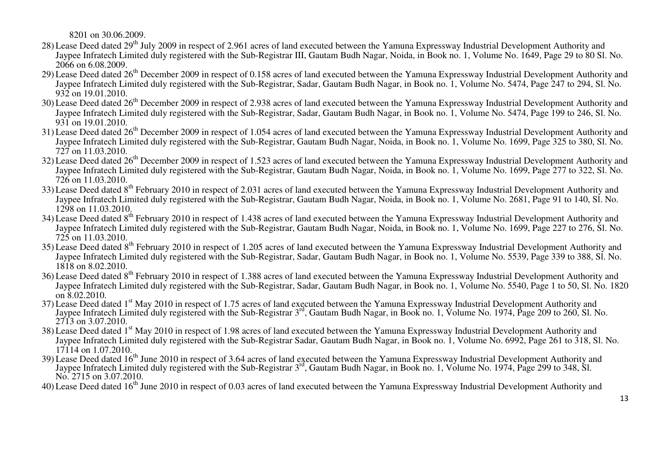8201 on 30.06.2009.

- 28) Lease Deed dated 29<sup>th</sup> July 2009 in respect of 2.961 acres of land executed between the Yamuna Expressway Industrial Development Authority and Jaypee Infratech Limited duly registered with the Sub-Registrar III, Gautam Budh Nagar, Noida, in Book no. 1, Volume No. 1649, Page 29 to 80 Sl. No. 2066 on 6.08.2009.
- 29) Lease Deed dated 26<sup>th</sup> December 2009 in respect of 0.158 acres of land executed between the Yamuna Expressway Industrial Development Authority and Jaypee Infratech Limited duly registered with the Sub-Registrar, Sadar, Gautam Budh Nagar, in Book no. 1, Volume No. 5474, Page 247 to 294, Sl. No. 932 on 19.01.2010.
- 30) Lease Deed dated 26<sup>th</sup> December 2009 in respect of 2.938 acres of land executed between the Yamuna Expressway Industrial Development Authority and Jaypee Infratech Limited duly registered with the Sub-Registrar, Sadar, Gautam Budh Nagar, in Book no. 1, Volume No. 5474, Page 199 to 246, Sl. No. 931 on 19.01.2010.
- 31) Lease Deed dated 26<sup>th</sup> December 2009 in respect of 1.054 acres of land executed between the Yamuna Expressway Industrial Development Authority and Jaypee Infratech Limited duly registered with the Sub-Registrar, Gautam Budh Nagar, Noida, in Book no. 1, Volume No. 1699, Page 325 to 380, Sl. No. 727 on 11.03.2010.
- 32) Lease Deed dated 26<sup>th</sup> December 2009 in respect of 1.523 acres of land executed between the Yamuna Expressway Industrial Development Authority and Jaypee Infratech Limited duly registered with the Sub-Registrar, Gautam Budh Nagar, Noida, in Book no. 1, Volume No. 1699, Page 277 to 322, Sl. No. 726 on 11.03.2010.
- 33) Lease Deed dated 8<sup>th</sup> February 2010 in respect of 2.031 acres of land executed between the Yamuna Expressway Industrial Development Authority and Jaypee Infratech Limited duly registered with the Sub-Registrar, Gautam Budh Nagar, Noida, in Book no. 1, Volume No. 2681, Page 91 to 140, Sl. No. 1298 on 11.03.2010.
- 34) Lease Deed dated 8<sup>th</sup> February 2010 in respect of 1.438 acres of land executed between the Yamuna Expressway Industrial Development Authority and Jaypee Infratech Limited duly registered with the Sub-Registrar, Gautam Budh Nagar, Noida, in Book no. 1, Volume No. 1699, Page 227 to 276, Sl. No. 725 on 11.03.2010.
- 35) Lease Deed dated 8<sup>th</sup> February 2010 in respect of 1.205 acres of land executed between the Yamuna Expressway Industrial Development Authority and Jaypee Infratech Limited duly registered with the Sub-Registrar, Sadar, Gautam Budh Nagar, in Book no. 1, Volume No. 5539, Page 339 to 388, Sl. No. 1818 on 8.02.2010.
- 36) Lease Deed dated 8<sup>th</sup> February 2010 in respect of 1.388 acres of land executed between the Yamuna Expressway Industrial Development Authority and Jaypee Infratech Limited duly registered with the Sub-Registrar, Sadar, Gautam Budh Nagar, in Book no. 1, Volume No. 5540, Page 1 to 50, Sl. No. 1820 on 8.02.2010.
- 37) Lease Deed dated 1<sup>st</sup> May 2010 in respect of 1.75 acres of land executed between the Yamuna Expressway Industrial Development Authority and Jaypee Infratech Limited duly registered with the Sub-Registrar 3rd, Gautam Budh Nagar, in Book no. 1, Volume No. 1974, Page 209 to 260, Sl. No. 2713 on 3.07.2010.
- 38) Lease Deed dated 1<sup>st</sup> May 2010 in respect of 1.98 acres of land executed between the Yamuna Expressway Industrial Development Authority and Jaypee Infratech Limited duly registered with the Sub-Registrar Sadar, Gautam Budh Nagar, in Book no. 1, Volume No. 6992, Page 261 to 318, Sl. No. 17114 on 1.07.2010.
- 39) Lease Deed dated 16<sup>th</sup> June 2010 in respect of 3.64 acres of land executed between the Yamuna Expressway Industrial Development Authority and Jaypee Infratech Limited duly registered with the Sub-Registrar 3rd, Gautam Budh Nagar, in Book no. 1, Volume No. 1974, Page 299 to 348, Sl. No. 2715 on 3.07.2010.
- 40) Lease Deed dated 16<sup>th</sup> June 2010 in respect of 0.03 acres of land executed between the Yamuna Expressway Industrial Development Authority and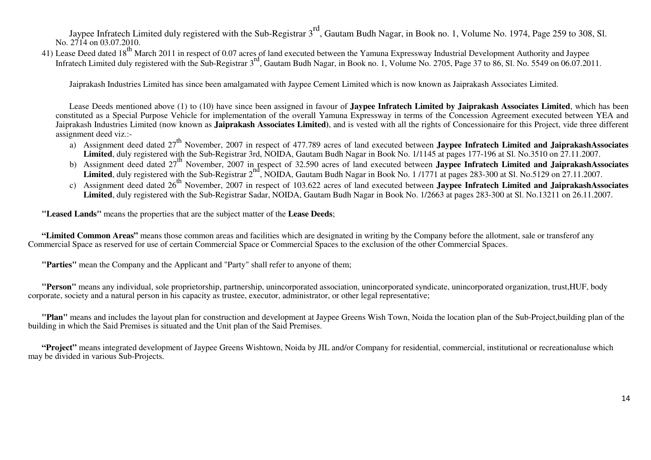Jaypee Infratech Limited duly registered with the Sub-Registrar 3<sup>rd</sup>, Gautam Budh Nagar, in Book no. 1, Volume No. 1974, Page 259 to 308, Sl. No. 2714 on 03.07.2010.

41) Lease Deed dated 18<sup>th</sup> March 2011 in respect of 0.07 acres of land executed between the Yamuna Expressway Industrial Development Authority and Jaypee Infratech Limited duly registered with the Sub-Registrar 3<sup>rd</sup>, Gautam Budh Nagar, in Book no. 1, Volume No. 2705, Page 37 to 86, Sl. No. 5549 on 06.07.2011.

Jaiprakash Industries Limited has since been amalgamated with Jaypee Cement Limited which is now known as Jaiprakash Associates Limited.

Lease Deeds mentioned above (1) to (10) have since been assigned in favour of **Jaypee Infratech Limited by Jaiprakash Associates Limited**, which has been constituted as a Special Purpose Vehicle for implementation of the overall Yamuna Expressway in terms of the Concession Agreement executed between YEA and Jaiprakash Industries Limited (now known as **Jaiprakash Associates Limited)**, and is vested with all the rights of Concessionaire for this Project, vide three different assignment deed viz.:-

- a) Assignment deed dated 27<sup>th</sup> November, 2007 in respect of 477.789 acres of land executed between **Jaypee Infratech Limited and JaiprakashAssociates** Limited, duly registered with the Sub-Registrar 3rd, NOIDA, Gautam Budh Nagar in Book No. 1/1145 at pages 177-196 at Sl. No.3510 on 27.11.2007.
- b) Assignment deed dated 27<sup>th</sup> November, 2007 in respect of 32.590 acres of land executed between **Jaypee Infratech Limited and JaiprakashAssociates Limited**, duly registered with the Sub-Registrar  $2^{nd}$ , NOIDA, Gautam Budh Nagar in Book No. 1/1771 at pages 283-300 at Sl. No.5129 on 27.11.2007.
- c) Assignment deed dated 26<sup>th</sup> November, 2007 in respect of 103.622 acres of land executed between **Jaypee Infratech Limited and JaiprakashAssociates Limited**, duly registered with the Sub-Registrar Sadar, NOIDA, Gautam Budh Nagar in Book No. 1/2663 at pages 283-300 at Sl. No.13211 on 26.11.2007.

**"Leased Lands"** means the properties that are the subject matter of the **Lease Deeds**;

**"Limited Common Areas"** means those common areas and facilities which are designated in writing by the Company before the allotment, sale or transferof any Commercial Space as reserved for use of certain Commercial Space or Commercial Spaces to the exclusion of the other Commercial Spaces.

**"Parties"** mean the Company and the Applicant and "Party" shall refer to anyone of them;

**"Person"** means any individual, sole proprietorship, partnership, unincorporated association, unincorporated syndicate, unincorporated organization, trust,HUF, body corporate, society and a natural person in his capacity as trustee, executor, administrator, or other legal representative;

**"Plan"** means and includes the layout plan for construction and development at Jaypee Greens Wish Town, Noida the location plan of the Sub-Project,building plan of the building in which the Said Premises is situated and the Unit plan of the Said Premises.

**"Project"** means integrated development of Jaypee Greens Wishtown, Noida by JIL and/or Company for residential, commercial, institutional or recreationaluse which may be divided in various Sub-Projects.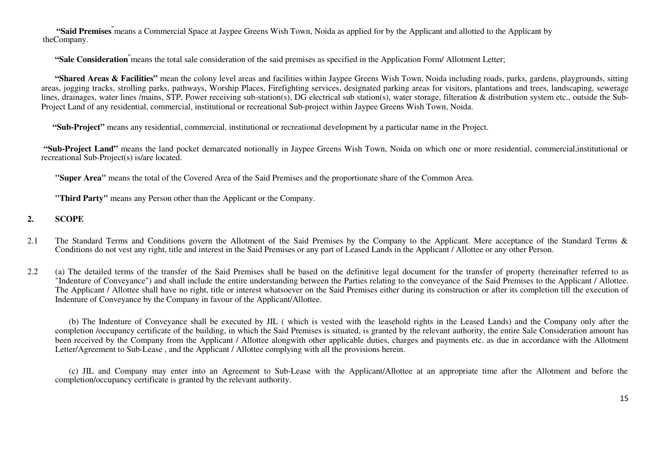**"Said Premises"**means a Commercial Space at Jaypee Greens Wish Town, Noida as applied for by the Applicant and allotted to the Applicant by theCompany.

**"Sale Consideration"**means the total sale consideration of the said premises as specified in the Application Form/ Allotment Letter;

**"Shared Areas & Facilities"** mean the colony level areas and facilities within Jaypee Greens Wish Town, Noida including roads, parks, gardens, playgrounds, sitting areas, jogging tracks, strolling parks, pathways, Worship Places, Firefighting services, designated parking areas for visitors, plantations and trees, landscaping, sewerage lines, drainages, water lines /mains, STP, Power receiving sub-station(s), DG electrical sub station(s), water storage, filteration & distribution system etc., outside the Sub-Project Land of any residential, commercial, institutional or recreational Sub-project within Jaypee Greens Wish Town, Noida.

**"Sub-Project"** means any residential, commercial, institutional or recreational development by a particular name in the Project.

**"Sub-Project Land"** means the land pocket demarcated notionally in Jaypee Greens Wish Town, Noida on which one or more residential, commercial,institutional or recreational Sub-Project(s) is/are located.

**"Super Area"** means the total of the Covered Area of the Said Premises and the proportionate share of the Common Area.

**"Third Party"** means any Person other than the Applicant or the Company.

#### **2.SCOPE**

2.1 The Standard Terms and Conditions govern the Allotment of the Said Premises by the Company to the Applicant. Mere acceptance of the Standard Terms & Conditions do not vest any right, title and interest in the Said Premises or any part of Leased Lands in the Applicant / Allottee or any other Person.

2.2 (a) The detailed terms of the transfer of the Said Premises shall be based on the definitive legal document for the transfer of property (hereinafter referred to as "Indenture of Conveyance") and shall include the entire understanding between the Parties relating to the conveyance of the Said Premises to the Applicant / Allottee. The Applicant / Allottee shall have no right, title or interest whatsoever on the Said Premises either during its construction or after its completion till the execution of Indenture of Conveyance by the Company in favour of the Applicant/Allottee.

(b) The Indenture of Conveyance shall be executed by JIL ( which is vested with the leasehold rights in the Leased Lands) and the Company only after the completion /occupancy certificate of the building, in which the Said Premises is situated, is granted by the relevant authority, the entire Sale Consideration amount has been received by the Company from the Applicant / Allottee alongwith other applicable duties, charges and payments etc. as due in accordance with the Allotment Letter/Agreement to Sub-Lease , and the Applicant / Allottee complying with all the provisions herein.

(c) JIL and Company may enter into an Agreement to Sub-Lease with the Applicant/Allottee at an appropriate time after the Allotment and before the completion/occupancy certificate is granted by the relevant authority.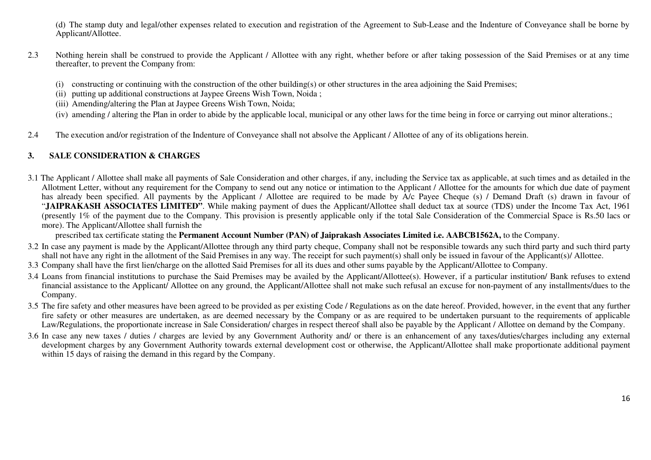(d) The stamp duty and legal/other expenses related to execution and registration of the Agreement to Sub-Lease and the Indenture of Conveyance shall be borne by Applicant/Allottee.

- 2.3 Nothing herein shall be construed to provide the Applicant / Allottee with any right, whether before or after taking possession of the Said Premises or at any time thereafter, to prevent the Company from:
	- (i) constructing or continuing with the construction of the other building(s) or other structures in the area adjoining the Said Premises;
	- (ii) putting up additional constructions at Jaypee Greens Wish Town, Noida ;
	- (iii) Amending/altering the Plan at Jaypee Greens Wish Town, Noida;
	- (iv) amending / altering the Plan in order to abide by the applicable local, municipal or any other laws for the time being in force or carrying out minor alterations.;
- 2.4The execution and/or registration of the Indenture of Conveyance shall not absolve the Applicant / Allottee of any of its obligations herein.

#### **3.SALE CONSIDERATION & CHARGES**

3.1 The Applicant / Allottee shall make all payments of Sale Consideration and other charges, if any, including the Service tax as applicable, at such times and as detailed in the Allotment Letter, without any requirement for the Company to send out any notice or intimation to the Applicant / Allottee for the amounts for which due date of payment has already been specified. All payments by the Applicant / Allottee are required to be made by A/c Payee Cheque (s) / Demand Draft (s) drawn in favour of "**JAIPRAKASH ASSOCIATES LIMITED"**. While making payment of dues the Applicant/Allottee shall deduct tax at source (TDS) under the Income Tax Act, 1961 (presently 1% of the payment due to the Company. This provision is presently applicable only if the total Sale Consideration of the Commercial Space is Rs.50 lacs or more). The Applicant/Allottee shall furnish the

prescribed tax certificate stating the **Permanent Account Number (PAN) of Jaiprakash Associates Limited i.e. AABCB1562A,** to the Company.

- 3.2 In case any payment is made by the Applicant/Allottee through any third party cheque, Company shall not be responsible towards any such third party and such third party shall not have any right in the allotment of the Said Premises in any way. The receipt for such payment(s) shall only be issued in favour of the Applicant(s)/ Allottee.
- 3.3 Company shall have the first lien/charge on the allotted Said Premises for all its dues and other sums payable by the Applicant/Allottee to Company.
- 3.4 Loans from financial institutions to purchase the Said Premises may be availed by the Applicant/Allottee(s). However, if a particular institution/ Bank refuses to extend financial assistance to the Applicant/ Allottee on any ground, the Applicant/Allottee shall not make such refusal an excuse for non-payment of any installments/dues to the Company.
- 3.5 The fire safety and other measures have been agreed to be provided as per existing Code / Regulations as on the date hereof. Provided, however, in the event that any further fire safety or other measures are undertaken, as are deemed necessary by the Company or as are required to be undertaken pursuant to the requirements of applicable Law/Regulations, the proportionate increase in Sale Consideration/ charges in respect thereof shall also be payable by the Applicant / Allottee on demand by the Company.
- 3.6 In case any new taxes / duties / charges are levied by any Government Authority and/ or there is an enhancement of any taxes/duties/charges including any external development charges by any Government Authority towards external development cost or otherwise, the Applicant/Allottee shall make proportionate additional payment within 15 days of raising the demand in this regard by the Company.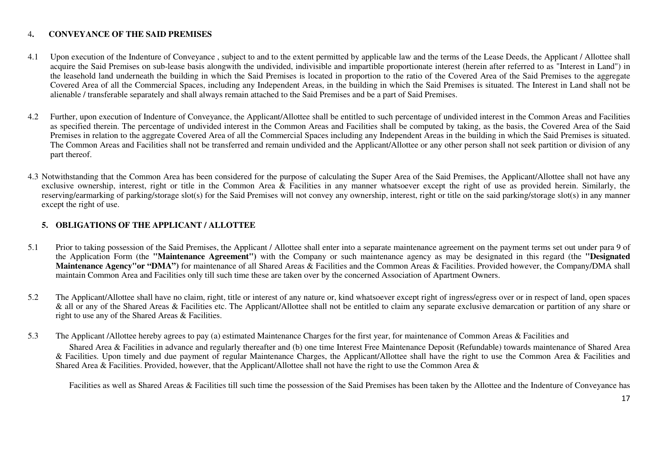#### 4**.CONVEYANCE OF THE SAID PREMISES**

- 4.1 Upon execution of the Indenture of Conveyance , subject to and to the extent permitted by applicable law and the terms of the Lease Deeds, the Applicant / Allottee shall acquire the Said Premises on sub-lease basis alongwith the undivided, indivisible and impartible proportionate interest (herein after referred to as "Interest in Land") in the leasehold land underneath the building in which the Said Premises is located in proportion to the ratio of the Covered Area of the Said Premises to the aggregate Covered Area of all the Commercial Spaces, including any Independent Areas, in the building in which the Said Premises is situated. The Interest in Land shall not be alienable / transferable separately and shall always remain attached to the Said Premises and be a part of Said Premises.
- 4.2 Further, upon execution of Indenture of Conveyance, the Applicant/Allottee shall be entitled to such percentage of undivided interest in the Common Areas and Facilities as specified therein. The percentage of undivided interest in the Common Areas and Facilities shall be computed by taking, as the basis, the Covered Area of the Said Premises in relation to the aggregate Covered Area of all the Commercial Spaces including any Independent Areas in the building in which the Said Premises is situated. The Common Areas and Facilities shall not be transferred and remain undivided and the Applicant/Allottee or any other person shall not seek partition or division of any part thereof.
- 4.3 Notwithstanding that the Common Area has been considered for the purpose of calculating the Super Area of the Said Premises, the Applicant/Allottee shall not have any exclusive ownership, interest, right or title in the Common Area  $\&$  Facilities in any manner whatsoever except the right of use as provided herein. Similarly, the reserving/earmarking of parking/storage slot(s) for the Said Premises will not convey any ownership, interest, right or title on the said parking/storage slot(s) in any manner except the right of use.

## **5. OBLIGATIONS OF THE APPLICANT / ALLOTTEE**

- 5.1Prior to taking possession of the Said Premises, the Applicant / Allottee shall enter into a separate maintenance agreement on the payment terms set out under para 9 of the Application Form (the **"Maintenance Agreement")** with the Company or such maintenance agency as may be designated in this regard (the **"Designated** Maintenance Agency"or "DMA") for maintenance of all Shared Areas & Facilities and the Common Areas & Facilities. Provided however, the Company/DMA shall maintain Common Area and Facilities only till such time these are taken over by the concerned Association of Apartment Owners.
- 5.2 The Applicant/Allottee shall have no claim, right, title or interest of any nature or, kind whatsoever except right of ingress/egress over or in respect of land, open spaces & all or any of the Shared Areas & Facilities etc. The Applicant/Allottee shall not be entitled to claim any separate exclusive demarcation or partition of any share or right to use any of the Shared Areas & Facilities.
- 5.3The Applicant /Allottee hereby agrees to pay (a) estimated Maintenance Charges for the first year, for maintenance of Common Areas & Facilities and Shared Area & Facilities in advance and regularly thereafter and (b) one time Interest Free Maintenance Deposit (Refundable) towards maintenance of Shared Area & Facilities. Upon timely and due payment of regular Maintenance Charges, the Applicant/Allottee shall have the right to use the Common Area & Facilities and Shared Area & Facilities. Provided, however, that the Applicant/Allottee shall not have the right to use the Common Area &

Facilities as well as Shared Areas & Facilities till such time the possession of the Said Premises has been taken by the Allottee and the Indenture of Conveyance has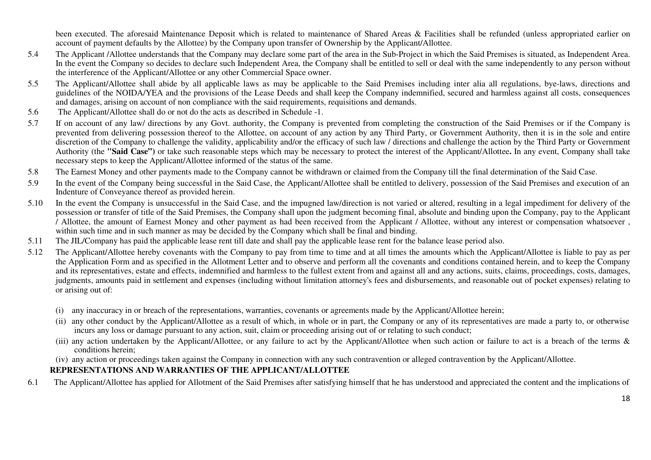been executed. The aforesaid Maintenance Deposit which is related to maintenance of Shared Areas & Facilities shall be refunded (unless appropriated earlier on account of payment defaults by the Allottee) by the Company upon transfer of Ownership by the Applicant/Allottee.

- 5.4 The Applicant /Allottee understands that the Company may declare some part of the area in the Sub-Project in which the Said Premises is situated, as Independent Area. In the event the Company so decides to declare such Independent Area, the Company shall be entitled to sell or deal with the same independently to any person without the interference of the Applicant/Allottee or any other Commercial Space owner.
- 5.5 The Applicant/Allottee shall abide by all applicable laws as may be applicable to the Said Premises including inter alia all regulations, bye-laws, directions and guidelines of the NOIDA/YEA and the provisions of the Lease Deeds and shall keep the Company indemnified, secured and harmless against all costs, consequences and damages, arising on account of non compliance with the said requirements, requisitions and demands.
- 5.6The Applicant/Allottee shall do or not do the acts as described in Schedule -1.
- 5.7 If on account of any law/ directions by any Govt. authority, the Company is prevented from completing the construction of the Said Premises or if the Company is prevented from delivering possession thereof to the Allottee, on account of any action by any Third Party, or Government Authority, then it is in the sole and entire discretion of the Company to challenge the validity, applicability and/or the efficacy of such law / directions and challenge the action by the Third Party or Government Authority (the **"Said Case")** or take such reasonable steps which may be necessary to protect the interest of the Applicant/Allottee**.** In any event, Company shall take necessary steps to keep the Applicant/Allottee informed of the status of the same.
- 5.8The Earnest Money and other payments made to the Company cannot be withdrawn or claimed from the Company till the final determination of the Said Case.
- 5.9In the event of the Company being successful in the Said Case, the Applicant/Allottee shall be entitled to delivery, possession of the Said Premises and execution of an Indenture of Conveyance thereof as provided herein.
- 5.10In the event the Company is unsuccessful in the Said Case, and the impugned law/direction is not varied or altered, resulting in a legal impediment for delivery of the possession or transfer of title of the Said Premises, the Company shall upon the judgment becoming final, absolute and binding upon the Company, pay to the Applicant / Allottee, the amount of Earnest Money and other payment as had been received from the Applicant / Allottee, without any interest or compensation whatsoever , within such time and in such manner as may be decided by the Company which shall be final and binding.
- The JIL/Company has paid the applicable lease rent till date and shall pay the applicable lease rent for the balance lease period also. 5.11
- 5.12 The Applicant/Allottee hereby covenants with the Company to pay from time to time and at all times the amounts which the Applicant/Allottee is liable to pay as per the Application Form and as specified in the Allotment Letter and to observe and perform all the covenants and conditions contained herein, and to keep the Company and its representatives, estate and effects, indemnified and harmless to the fullest extent from and against all and any actions, suits, claims, proceedings, costs, damages, judgments, amounts paid in settlement and expenses (including without limitation attorney's fees and disbursements, and reasonable out of pocket expenses) relating to or arising out of:
	- (i) any inaccuracy in or breach of the representations, warranties, covenants or agreements made by the Applicant/Allottee herein;
	- (ii) any other conduct by the Applicant/Allottee as a result of which, in whole or in part, the Company or any of its representatives are made a party to, or otherwise incurs any loss or damage pursuant to any action, suit, claim or proceeding arising out of or relating to such conduct;
	- (iii) any action undertaken by the Applicant/Allottee, or any failure to act by the Applicant/Allottee when such action or failure to act is a breach of the terms & conditions herein;
	- (iv) any action or proceedings taken against the Company in connection with any such contravention or alleged contravention by the Applicant/Allottee.

# **REPRESENTATIONS AND WARRANTIES OF THE APPLICANT/ALLOTTEE**

6.1The Applicant/Allottee has applied for Allotment of the Said Premises after satisfying himself that he has understood and appreciated the content and the implications of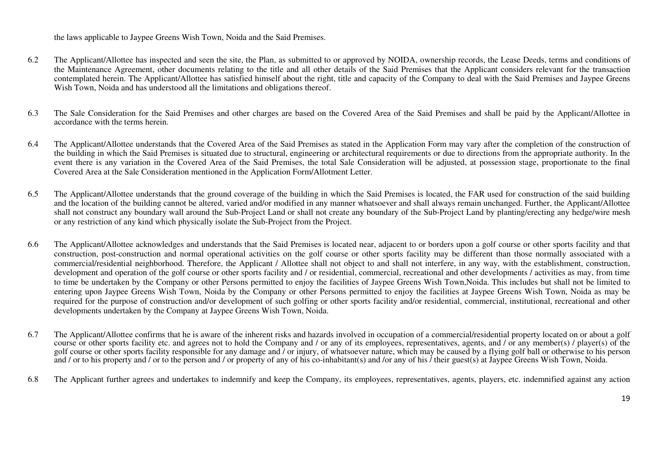the laws applicable to Jaypee Greens Wish Town, Noida and the Said Premises.

- 6.2 The Applicant/Allottee has inspected and seen the site, the Plan, as submitted to or approved by NOIDA, ownership records, the Lease Deeds, terms and conditions of the Maintenance Agreement, other documents relating to the title and all other details of the Said Premises that the Applicant considers relevant for the transaction contemplated herein. The Applicant/Allottee has satisfied himself about the right, title and capacity of the Company to deal with the Said Premises and Jaypee Greens Wish Town, Noida and has understood all the limitations and obligations thereof.
- 6.3 The Sale Consideration for the Said Premises and other charges are based on the Covered Area of the Said Premises and shall be paid by the Applicant/Allottee in accordance with the terms herein.
- 6.4 The Applicant/Allottee understands that the Covered Area of the Said Premises as stated in the Application Form may vary after the completion of the construction of the building in which the Said Premises is situated due to structural, engineering or architectural requirements or due to directions from the appropriate authority. In the event there is any variation in the Covered Area of the Said Premises, the total Sale Consideration will be adjusted, at possession stage, proportionate to the final Covered Area at the Sale Consideration mentioned in the Application Form/Allotment Letter.
- 6.5 The Applicant/Allottee understands that the ground coverage of the building in which the Said Premises is located, the FAR used for construction of the said building and the location of the building cannot be altered, varied and/or modified in any manner whatsoever and shall always remain unchanged. Further, the Applicant/Allottee shall not construct any boundary wall around the Sub-Project Land or shall not create any boundary of the Sub-Project Land by planting/erecting any hedge/wire mesh or any restriction of any kind which physically isolate the Sub-Project from the Project.
- 6.6 The Applicant/Allottee acknowledges and understands that the Said Premises is located near, adjacent to or borders upon a golf course or other sports facility and that construction, post-construction and normal operational activities on the golf course or other sports facility may be different than those normally associated with a commercial/residential neighborhood. Therefore, the Applicant / Allottee shall not object to and shall not interfere, in any way, with the establishment, construction, development and operation of the golf course or other sports facility and / or residential, commercial, recreational and other developments / activities as may, from time to time be undertaken by the Company or other Persons permitted to enjoy the facilities of Jaypee Greens Wish Town,Noida. This includes but shall not be limited to entering upon Jaypee Greens Wish Town, Noida by the Company or other Persons permitted to enjoy the facilities at Jaypee Greens Wish Town, Noida as may be required for the purpose of construction and/or development of such golfing or other sports facility and/or residential, commercial, institutional, recreational and other developments undertaken by the Company at Jaypee Greens Wish Town, Noida.
- 6.7 The Applicant/Allottee confirms that he is aware of the inherent risks and hazards involved in occupation of a commercial/residential property located on or about a golf course or other sports facility etc. and agrees not to hold the Company and / or any of its employees, representatives, agents, and / or any member(s) / player(s) of the golf course or other sports facility responsible for any damage and / or injury, of whatsoever nature, which may be caused by a flying golf ball or otherwise to his person and / or to his property and / or to the person and / or property of any of his co-inhabitant(s) and /or any of his / their guest(s) at Jaypee Greens Wish Town, Noida.
- 6.8The Applicant further agrees and undertakes to indemnify and keep the Company, its employees, representatives, agents, players, etc. indemnified against any action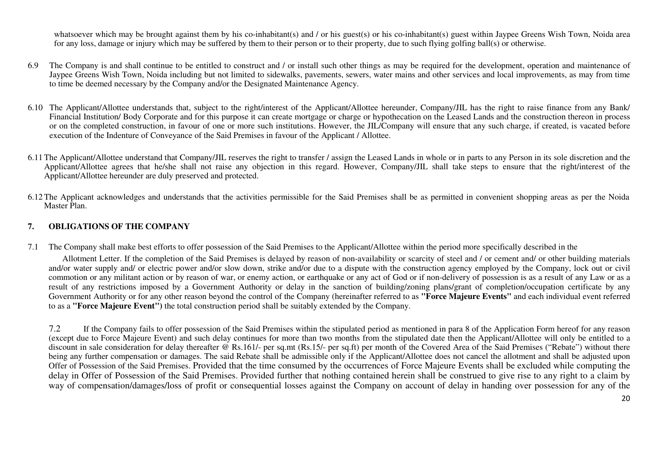whatsoever which may be brought against them by his co-inhabitant(s) and / or his guest(s) or his co-inhabitant(s) guest within Jaypee Greens Wish Town, Noida area for any loss, damage or injury which may be suffered by them to their person or to their property, due to such flying golfing ball(s) or otherwise.

- 6.9The Company is and shall continue to be entitled to construct and / or install such other things as may be required for the development, operation and maintenance of Jaypee Greens Wish Town, Noida including but not limited to sidewalks, pavements, sewers, water mains and other services and local improvements, as may from time to time be deemed necessary by the Company and/or the Designated Maintenance Agency.
- 6.10 The Applicant/Allottee understands that, subject to the right/interest of the Applicant/Allottee hereunder, Company/JIL has the right to raise finance from any Bank/ Financial Institution/ Body Corporate and for this purpose it can create mortgage or charge or hypothecation on the Leased Lands and the construction thereon in process or on the completed construction, in favour of one or more such institutions. However, the JIL/Company will ensure that any such charge, if created, is vacated before execution of the Indenture of Conveyance of the Said Premises in favour of the Applicant / Allottee.
- 6.11The Applicant/Allottee understand that Company/JIL reserves the right to transfer / assign the Leased Lands in whole or in parts to any Person in its sole discretion and the Applicant/Allottee agrees that he/she shall not raise any objection in this regard. However, Company/JIL shall take steps to ensure that the right/interest of the Applicant/Allottee hereunder are duly preserved and protected.
- 6.12The Applicant acknowledges and understands that the activities permissible for the Said Premises shall be as permitted in convenient shopping areas as per the Noida Master Plan.

#### **7.OBLIGATIONS OF THE COMPANY**

7.1The Company shall make best efforts to offer possession of the Said Premises to the Applicant/Allottee within the period more specifically described in the

Allotment Letter. If the completion of the Said Premises is delayed by reason of non-availability or scarcity of steel and / or cement and/ or other building materials and/or water supply and/ or electric power and/or slow down, strike and/or due to a dispute with the construction agency employed by the Company, lock out or civil commotion or any militant action or by reason of war, or enemy action, or earthquake or any act of God or if non-delivery of possession is as a result of any Law or as a result of any restrictions imposed by a Government Authority or delay in the sanction of building/zoning plans/grant of completion/occupation certificate by any Government Authority or for any other reason beyond the control of the Company (hereinafter referred to as **"Force Majeure Events"** and each individual event referred to as a **"Force Majeure Event")** the total construction period shall be suitably extended by the Company.

7.2 If the Company fails to offer possession of the Said Premises within the stipulated period as mentioned in para 8 of the Application Form hereof for any reason (except due to Force Majeure Event) and such delay continues for more than two months from the stipulated date then the Applicant/Allottee will only be entitled to a discount in sale consideration for delay thereafter @ Rs.161/- per sq.mt (Rs.15/- per sq.ft) per month of the Covered Area of the Said Premises ("Rebate") without there being any further compensation or damages. The said Rebate shall be admissible only if the Applicant/Allottee does not cancel the allotment and shall be adjusted upon Offer of Possession of the Said Premises. Provided that the time consumed by the occurrences of Force Majeure Events shall be excluded while computing the delay in Offer of Possession of the Said Premises. Provided further that nothing contained herein shall be construed to give rise to any right to a claim by way of compensation/damages/loss of profit or consequential losses against the Company on account of delay in handing over possession for any of the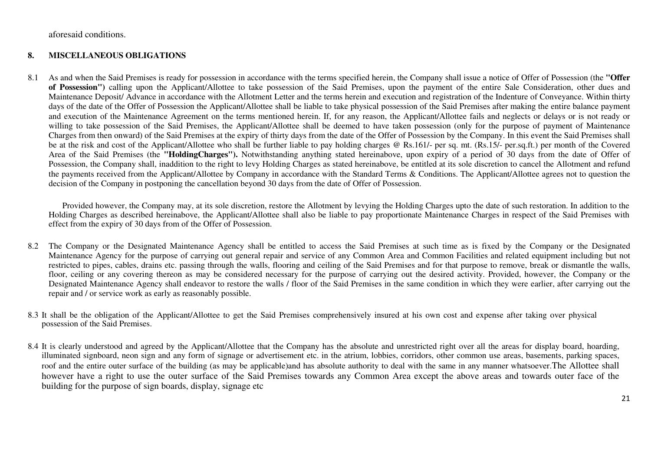aforesaid conditions.

#### **8.MISCELLANEOUS OBLIGATIONS**

8.1 As and when the Said Premises is ready for possession in accordance with the terms specified herein, the Company shall issue a notice of Offer of Possession (the **"Offer of Possession")** calling upon the Applicant/Allottee to take possession of the Said Premises, upon the payment of the entire Sale Consideration, other dues and Maintenance Deposit/ Advance in accordance with the Allotment Letter and the terms herein and execution and registration of the Indenture of Conveyance. Within thirty days of the date of the Offer of Possession the Applicant/Allottee shall be liable to take physical possession of the Said Premises after making the entire balance payment and execution of the Maintenance Agreement on the terms mentioned herein. If, for any reason, the Applicant/Allottee fails and neglects or delays or is not ready or willing to take possession of the Said Premises, the Applicant/Allottee shall be deemed to have taken possession (only for the purpose of payment of Maintenance Charges from then onward) of the Said Premises at the expiry of thirty days from the date of the Offer of Possession by the Company. In this event the Said Premises shall be at the risk and cost of the Applicant/Allottee who shall be further liable to pay holding charges @ Rs.161/- per sq. mt. (Rs.15/- per.sq.ft.) per month of the Covered Area of the Said Premises (the **"HoldingCharges").** Notwithstanding anything stated hereinabove, upon expiry of a period of 30 days from the date of Offer of Possession, the Company shall, inaddition to the right to levy Holding Charges as stated hereinabove, be entitled at its sole discretion to cancel the Allotment and refund the payments received from the Applicant/Allottee by Company in accordance with the Standard Terms & Conditions. The Applicant/Allottee agrees not to question the decision of the Company in postponing the cancellation beyond 30 days from the date of Offer of Possession.

Provided however, the Company may, at its sole discretion, restore the Allotment by levying the Holding Charges upto the date of such restoration. In addition to the Holding Charges as described hereinabove, the Applicant/Allottee shall also be liable to pay proportionate Maintenance Charges in respect of the Said Premises with effect from the expiry of 30 days from of the Offer of Possession.

- 8.2 The Company or the Designated Maintenance Agency shall be entitled to access the Said Premises at such time as is fixed by the Company or the Designated Maintenance Agency for the purpose of carrying out general repair and service of any Common Area and Common Facilities and related equipment including but not restricted to pipes, cables, drains etc. passing through the walls, flooring and ceiling of the Said Premises and for that purpose to remove, break or dismantle the walls, floor, ceiling or any covering thereon as may be considered necessary for the purpose of carrying out the desired activity. Provided, however, the Company or the Designated Maintenance Agency shall endeavor to restore the walls / floor of the Said Premises in the same condition in which they were earlier, after carrying out the repair and / or service work as early as reasonably possible.
- 8.3 It shall be the obligation of the Applicant/Allottee to get the Said Premises comprehensively insured at his own cost and expense after taking over physical possession of the Said Premises.
- 8.4 It is clearly understood and agreed by the Applicant/Allottee that the Company has the absolute and unrestricted right over all the areas for display board, hoarding, illuminated signboard, neon sign and any form of signage or advertisement etc. in the atrium, lobbies, corridors, other common use areas, basements, parking spaces, roof and the entire outer surface of the building (as may be applicable)and has absolute authority to deal with the same in any manner whatsoever.The Allottee shall however have a right to use the outer surface of the Said Premises towards any Common Area except the above areas and towards outer face of the building for the purpose of sign boards, display, signage etc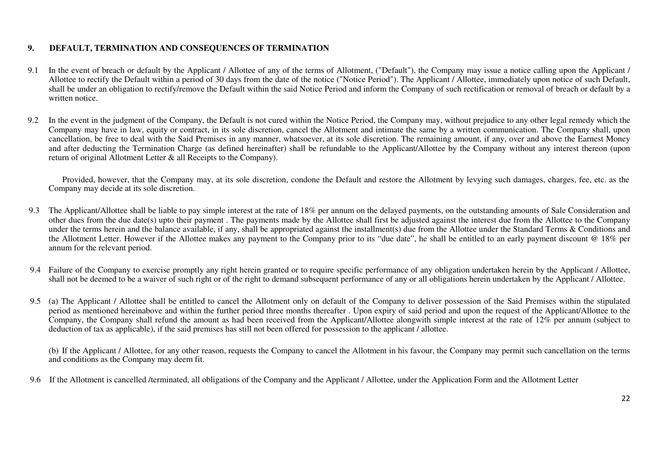#### **9.DEFAULT, TERMINATION AND CONSEQUENCES OF TERMINATION**

- 9.1 In the event of breach or default by the Applicant / Allottee of any of the terms of Allotment, ("Default"), the Company may issue a notice calling upon the Applicant / Allottee to rectify the Default within a period of 30 days from the date of the notice ("Notice Period"). The Applicant / Allottee, immediately upon notice of such Default, shall be under an obligation to rectify/remove the Default within the said Notice Period and inform the Company of such rectification or removal of breach or default by a written notice.
- 9.2 In the event in the judgment of the Company, the Default is not cured within the Notice Period, the Company may, without prejudice to any other legal remedy which the Company may have in law, equity or contract, in its sole discretion, cancel the Allotment and intimate the same by a written communication. The Company shall, upon cancellation, be free to deal with the Said Premises in any manner, whatsoever, at its sole discretion. The remaining amount, if any, over and above the Earnest Money and after deducting the Termination Charge (as defined hereinafter) shall be refundable to the Applicant/Allottee by the Company without any interest thereon (upon return of original Allotment Letter & all Receipts to the Company).

Provided, however, that the Company may, at its sole discretion, condone the Default and restore the Allotment by levying such damages, charges, fee, etc. as the Company may decide at its sole discretion.

- 9.3 The Applicant/Allottee shall be liable to pay simple interest at the rate of 18% per annum on the delayed payments, on the outstanding amounts of Sale Consideration and other dues from the due date(s) upto their payment . The payments made by the Allottee shall first be adjusted against the interest due from the Allottee to the Company under the terms herein and the balance available, if any, shall be appropriated against the installment(s) due from the Allottee under the Standard Terms & Conditions and the Allotment Letter. However if the Allottee makes any payment to the Company prior to its "due date", he shall be entitled to an early payment discount @ 18% per annum for the relevant period.
- 9.4 Failure of the Company to exercise promptly any right herein granted or to require specific performance of any obligation undertaken herein by the Applicant / Allottee, shall not be deemed to be a waiver of such right or of the right to demand subsequent performance of any or all obligations herein undertaken by the Applicant / Allottee.
- 9.5 (a) The Applicant / Allottee shall be entitled to cancel the Allotment only on default of the Company to deliver possession of the Said Premises within the stipulated period as mentioned hereinabove and within the further period three months thereafter . Upon expiry of said period and upon the request of the Applicant/Allottee to the Company, the Company shall refund the amount as had been received from the Applicant/Allottee alongwith simple interest at the rate of 12% per annum (subject to deduction of tax as applicable), if the said premises has still not been offered for possession to the applicant / allottee.

(b) If the Applicant / Allottee, for any other reason, requests the Company to cancel the Allotment in his favour, the Company may permit such cancellation on the terms and conditions as the Company may deem fit.

9.6 If the Allotment is cancelled /terminated, all obligations of the Company and the Applicant / Allottee, under the Application Form and the Allotment Letter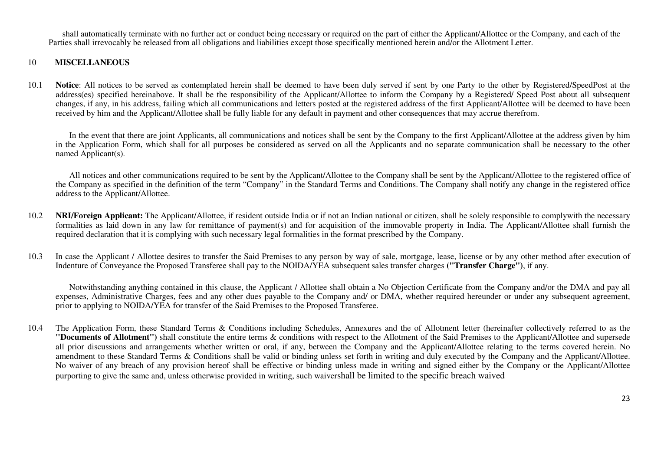shall automatically terminate with no further act or conduct being necessary or required on the part of either the Applicant/Allottee or the Company, and each of the Parties shall irrevocably be released from all obligations and liabilities except those specifically mentioned herein and/or the Allotment Letter.

### 10 **MISCELLANEOUS**

10.1 **Notice**: All notices to be served as contemplated herein shall be deemed to have been duly served if sent by one Party to the other by Registered/SpeedPost at the address(es) specified hereinabove. It shall be the responsibility of the Applicant/Allottee to inform the Company by a Registered/ Speed Post about all subsequent changes, if any, in his address, failing which all communications and letters posted at the registered address of the first Applicant/Allottee will be deemed to have been received by him and the Applicant/Allottee shall be fully liable for any default in payment and other consequences that may accrue therefrom.

In the event that there are joint Applicants, all communications and notices shall be sent by the Company to the first Applicant/Allottee at the address given by him in the Application Form, which shall for all purposes be considered as served on all the Applicants and no separate communication shall be necessary to the other named Applicant(s).

All notices and other communications required to be sent by the Applicant/Allottee to the Company shall be sent by the Applicant/Allottee to the registered office of the Company as specified in the definition of the term "Company" in the Standard Terms and Conditions. The Company shall notify any change in the registered office address to the Applicant/Allottee.

- 10.2 **NRI/Foreign Applicant:** The Applicant/Allottee, if resident outside India or if not an Indian national or citizen, shall be solely responsible to complywith the necessary formalities as laid down in any law for remittance of payment(s) and for acquisition of the immovable property in India. The Applicant/Allottee shall furnish the required declaration that it is complying with such necessary legal formalities in the format prescribed by the Company.
- 10.3In case the Applicant / Allottee desires to transfer the Said Premises to any person by way of sale, mortgage, lease, license or by any other method after execution of Indenture of Conveyance the Proposed Transferee shall pay to the NOIDA/YEA subsequent sales transfer charges **("Transfer Charge")**, if any.

Notwithstanding anything contained in this clause, the Applicant / Allottee shall obtain a No Objection Certificate from the Company and/or the DMA and pay all expenses, Administrative Charges, fees and any other dues payable to the Company and/ or DMA, whether required hereunder or under any subsequent agreement, prior to applying to NOIDA/YEA for transfer of the Said Premises to the Proposed Transferee.

10.4 The Application Form, these Standard Terms & Conditions including Schedules, Annexures and the of Allotment letter (hereinafter collectively referred to as the **"Documents of Allotment")** shall constitute the entire terms & conditions with respect to the Allotment of the Said Premises to the Applicant/Allottee and supersede all prior discussions and arrangements whether written or oral, if any, between the Company and the Applicant/Allottee relating to the terms covered herein. No amendment to these Standard Terms & Conditions shall be valid or binding unless set forth in writing and duly executed by the Company and the Applicant/Allottee. No waiver of any breach of any provision hereof shall be effective or binding unless made in writing and signed either by the Company or the Applicant/Allottee purporting to give the same and, unless otherwise provided in writing, such waivershall be limited to the specific breach waived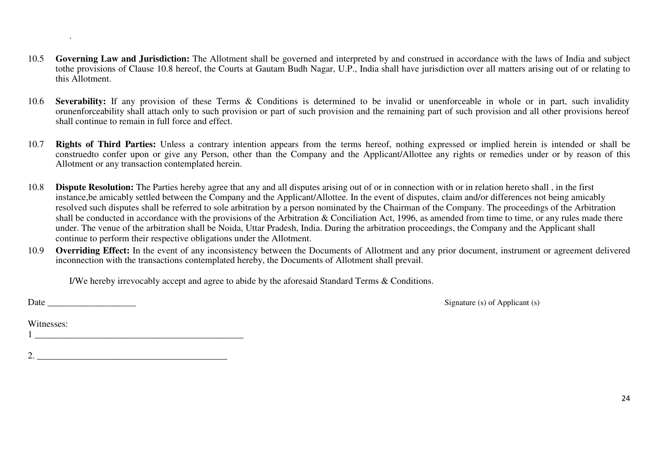- 10.5Governing Law and Jurisdiction: The Allotment shall be governed and interpreted by and construed in accordance with the laws of India and subject tothe provisions of Clause 10.8 hereof, the Courts at Gautam Budh Nagar, U.P., India shall have jurisdiction over all matters arising out of or relating to this Allotment.
- 10.6**Severability:** If any provision of these Terms & Conditions is determined to be invalid or unenforceable in whole or in part, such invalidity orunenforceability shall attach only to such provision or part of such provision and the remaining part of such provision and all other provisions hereofshall continue to remain in full force and effect.
- 10.7 **Rights of Third Parties:** Unless a contrary intention appears from the terms hereof, nothing expressed or implied herein is intended or shall be construedto confer upon or give any Person, other than the Company and the Applicant/Allottee any rights or remedies under or by reason of this Allotment or any transaction contemplated herein.
- 10.8**Dispute Resolution:** The Parties hereby agree that any and all disputes arising out of or in connection with or in relation hereto shall, in the first instance,be amicably settled between the Company and the Applicant/Allottee. In the event of disputes, claim and/or differences not being amicably resolved such disputes shall be referred to sole arbitration by a person nominated by the Chairman of the Company. The proceedings of the Arbitration shall be conducted in accordance with the provisions of the Arbitration & Conciliation Act, 1996, as amended from time to time, or any rules made there under. The venue of the arbitration shall be Noida, Uttar Pradesh, India. During the arbitration proceedings, the Company and the Applicant shall continue to perform their respective obligations under the Allotment.
- 10.9 **Overriding Effect:** In the event of any inconsistency between the Documents of Allotment and any prior document, instrument or agreement delivered inconnection with the transactions contemplated hereby, the Documents of Allotment shall prevail.

I/We hereby irrevocably accept and agree to abide by the aforesaid Standard Terms & Conditions.

.

Date \_\_\_\_\_\_\_\_\_\_\_\_\_\_\_\_\_\_\_ Signature (s) of Applicant (s)

Witnesses: 1 \_\_\_\_\_\_\_\_\_\_\_\_\_\_\_\_\_\_\_\_\_\_\_\_\_\_\_\_\_\_\_\_\_\_\_\_\_\_\_\_\_\_\_\_\_

 $2.$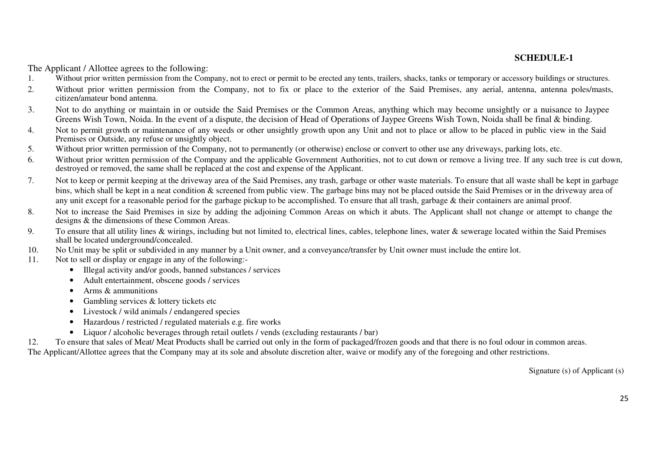### **SCHEDULE-1**

The Applicant / Allottee agrees to the following:

- Without prior written permission from the Company, not to erect or permit to be erected any tents, trailers, shacks, tanks or temporary or accessory buildings or structures. 1.
- 2.Without prior written permission from the Company, not to fix or place to the exterior of the Said Premises, any aerial, antenna, antenna poles/masts, citizen/amateur bond antenna.
- 3. Not to do anything or maintain in or outside the Said Premises or the Common Areas, anything which may become unsightly or a nuisance to Jaypee Greens Wish Town, Noida. In the event of a dispute, the decision of Head of Operations of Jaypee Greens Wish Town, Noida shall be final & binding.
- Not to permit growth or maintenance of any weeds or other unsightly growth upon any Unit and not to place or allow to be placed in public view in the Said 4.Premises or Outside, any refuse or unsightly object.
- Without prior written permission of the Company, not to permanently (or otherwise) enclose or convert to other use any driveways, parking lots, etc. 5.
- 6.Without prior written permission of the Company and the applicable Government Authorities, not to cut down or remove a living tree. If any such tree is cut down, destroyed or removed, the same shall be replaced at the cost and expense of the Applicant.
- 7. Not to keep or permit keeping at the driveway area of the Said Premises, any trash, garbage or other waste materials. To ensure that all waste shall be kept in garbage bins, which shall be kept in a neat condition & screened from public view. The garbage bins may not be placed outside the Said Premises or in the driveway area of any unit except for a reasonable period for the garbage pickup to be accomplished. To ensure that all trash, garbage & their containers are animal proof.
- 8. Not to increase the Said Premises in size by adding the adjoining Common Areas on which it abuts. The Applicant shall not change or attempt to change thedesigns & the dimensions of these Common Areas.
- 9.To ensure that all utility lines & wirings, including but not limited to, electrical lines, cables, telephone lines, water & sewerage located within the Said Premises shall be located underground/concealed.
- No Unit may be split or subdivided in any manner by a Unit owner, and a conveyance/transfer by Unit owner must include the entire lot. 10.
- 11. Not to sell or display or engage in any of the following:-
	- Illegal activity and/or goods, banned substances / services
	- Adult entertainment, obscene goods / services
	- Arms & ammunitions
	- Gambling services & lottery tickets etc
	- Livestock / wild animals / endangered species
	- Hazardous / restricted / regulated materials e.g. fire works
	- Liquor / alcoholic beverages through retail outlets / vends (excluding restaurants / bar)

12.To ensure that sales of Meat/ Meat Products shall be carried out only in the form of packaged/frozen goods and that there is no foul odour in common areas.

The Applicant/Allottee agrees that the Company may at its sole and absolute discretion alter, waive or modify any of the foregoing and other restrictions.

Signature (s) of Applicant (s)